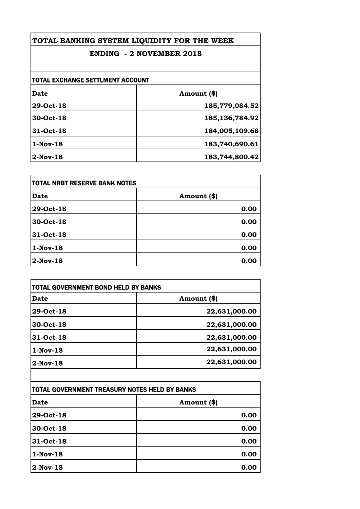## **ENDING - 2 NOVEMBER 2018**

| TOTAL EXCHANGE SETTLMENT ACCOUNT |                   |
|----------------------------------|-------------------|
| Date                             | Amount (\$)       |
| 29-Oct-18                        | 185,779,084.52    |
| 30-Oct-18                        | 185, 136, 784. 92 |
| 31-Oct-18                        | 184,005,109.68    |
| $1-Nov-18$                       | 183,740,690.61    |
| $2$ -Nov-18                      | 183,744,800.42    |

| <b>TOTAL NRBT RESERVE BANK NOTES</b> |             |
|--------------------------------------|-------------|
| <b>Date</b>                          | Amount (\$) |
| 29-Oct-18                            | 0.00        |
| 30-Oct-18                            | 0.00        |
| 31-Oct-18                            | 0.00        |
| $1-Nov-18$                           | 0.00        |
| $2$ -Nov-18                          | 0.00        |

| <b>Date</b> | Amount (\$)   |
|-------------|---------------|
| 29-Oct-18   | 22,631,000.00 |
| 30-Oct-18   | 22,631,000.00 |
| 31-Oct-18   | 22,631,000.00 |
| $1-Nov-18$  | 22,631,000.00 |
| $2-Nov-18$  | 22,631,000.00 |

| TOTAL GOVERNMENT TREASURY NOTES HELD BY BANKS |             |
|-----------------------------------------------|-------------|
| Date                                          | Amount (\$) |
| 29-Oct-18                                     | 0.00        |
| 30-Oct-18                                     | 0.00        |
| 31-Oct-18                                     | 0.00        |
| $1-Nov-18$                                    | 0.00        |
| $2-Nov-18$                                    | 0.00        |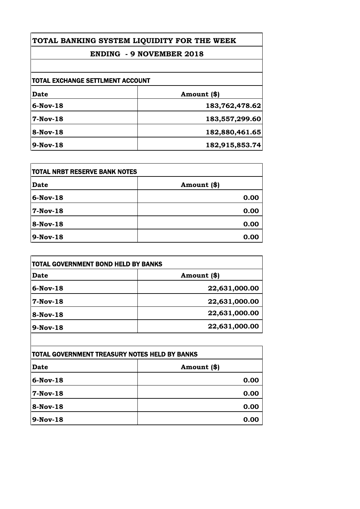## **ENDING - 9 NOVEMBER 2018**

| TOTAL EXCHANGE SETTLMENT ACCOUNT |                |
|----------------------------------|----------------|
| Date                             | Amount (\$)    |
| $6-Nov-18$                       | 183,762,478.62 |
| $7-Nov-18$                       | 183,557,299.60 |
| 8-Nov-18                         | 182,880,461.65 |
| $9-Nov-18$                       | 182,915,853.74 |

| itotal NRBT RESERVE BANK NOTES |             |
|--------------------------------|-------------|
| <b>Date</b>                    | Amount (\$) |
| $6$ -Nov-18                    | 0.00        |
| 7-Nov-18                       | 0.00        |
| 8-Nov-18                       | 0.00        |
| 9-Nov-18                       | 0.00        |

| <b>Date</b> | Amount (\$)   |
|-------------|---------------|
| $6-Nov-18$  | 22,631,000.00 |
| $7-Nov-18$  | 22,631,000.00 |
| $8-Nov-18$  | 22,631,000.00 |
| $9-Nov-18$  | 22,631,000.00 |

| TOTAL GOVERNMENT TREASURY NOTES HELD BY BANKS |             |
|-----------------------------------------------|-------------|
| <b>Date</b>                                   | Amount (\$) |
| $6$ -Nov-18                                   | 0.00        |
| 7-Nov-18                                      | 0.00        |
| 8-Nov-18                                      | 0.00        |
| $9-Nov-18$                                    | 0.00        |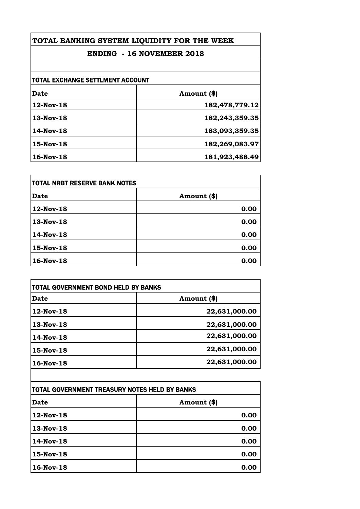## **ENDING - 16 NOVEMBER 2018**

| TOTAL EXCHANGE SETTLMENT ACCOUNT |                |
|----------------------------------|----------------|
| <b>Date</b>                      | Amount (\$)    |
| 12-Nov-18                        | 182,478,779.12 |
| $13-Nov-18$                      | 182,243,359.35 |
| 14-Nov-18                        | 183,093,359.35 |
| 15-Nov-18                        | 182,269,083.97 |
| $16$ -Nov- $18$                  | 181,923,488.49 |

| itotal NRBT RESERVE BANK NOTES |             |
|--------------------------------|-------------|
| Date                           | Amount (\$) |
| 12-Nov-18                      | 0.00        |
| 13-Nov-18                      | 0.00        |
| 14-Nov-18                      | 0.00        |
| 15-Nov-18                      | 0.00        |
| 16-Nov-18                      | 0.00        |

| Date            | Amount (\$)   |
|-----------------|---------------|
| 12-Nov-18       | 22,631,000.00 |
| 13-Nov-18       | 22,631,000.00 |
| $14$ -Nov- $18$ | 22,631,000.00 |
| $15-Nov-18$     | 22,631,000.00 |
| 16-Nov-18       | 22,631,000.00 |

 $\mathsf{l}$ 

| TOTAL GOVERNMENT TREASURY NOTES HELD BY BANKS |             |
|-----------------------------------------------|-------------|
| <b>Date</b>                                   | Amount (\$) |
| 12-Nov-18                                     | 0.00        |
| 13-Nov-18                                     | 0.00        |
| 14-Nov-18                                     | 0.00        |
| 15-Nov-18                                     | 0.00        |
| 16-Nov-18                                     | 0.00        |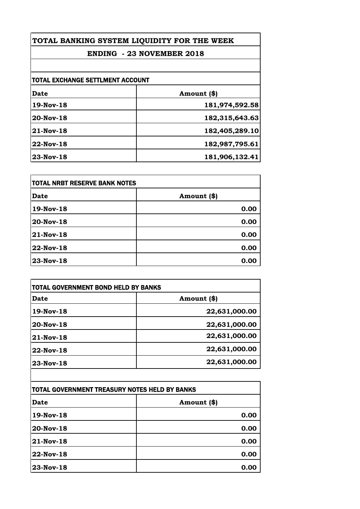## **ENDING - 23 NOVEMBER 2018**

| <b>TOTAL EXCHANGE SETTLMENT ACCOUNT</b> |                |
|-----------------------------------------|----------------|
| Date                                    | Amount (\$)    |
| 19-Nov-18                               | 181,974,592.58 |
| 20-Nov-18                               | 182,315,643.63 |
| 21-Nov-18                               | 182,405,289.10 |
| 22-Nov-18                               | 182,987,795.61 |
| 23-Nov-18                               | 181,906,132.41 |

| itotal NRBT RESERVE BANK NOTES |             |
|--------------------------------|-------------|
| Date                           | Amount (\$) |
| 19-Nov-18                      | 0.00        |
| 20-Nov-18                      | 0.00        |
| 21-Nov-18                      | 0.00        |
| 22-Nov-18                      | 0.00        |
| 23-Nov-18                      | 0.00        |

| <b>Date</b> | Amount (\$)   |
|-------------|---------------|
| 19-Nov-18   | 22,631,000.00 |
| 20-Nov-18   | 22,631,000.00 |
| 21-Nov-18   | 22,631,000.00 |
| 22-Nov-18   | 22,631,000.00 |
| 23-Nov-18   | 22,631,000.00 |

| TOTAL GOVERNMENT TREASURY NOTES HELD BY BANKS |             |
|-----------------------------------------------|-------------|
| Date                                          | Amount (\$) |
| $19-Nov-18$                                   | 0.00        |
| 20-Nov-18                                     | 0.00        |
| $ 21$ -Nov- $18$                              | 0.00        |
| 22-Nov-18                                     | 0.00        |
| 23-Nov-18                                     | 0.00        |